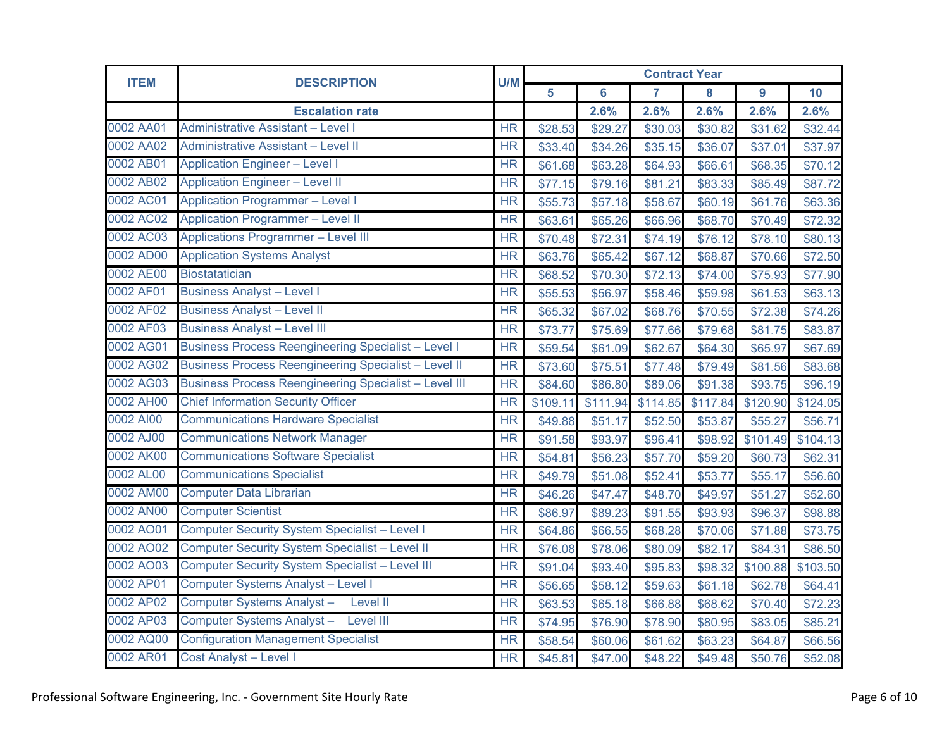| <b>ITEM</b> | <b>DESCRIPTION</b>                                           | U/M       | <b>Contract Year</b> |                 |          |          |          |          |  |
|-------------|--------------------------------------------------------------|-----------|----------------------|-----------------|----------|----------|----------|----------|--|
|             |                                                              |           | 5                    | $6\phantom{1}6$ | 7        | 8        | 9        | 10       |  |
|             | <b>Escalation rate</b>                                       |           |                      | 2.6%            | 2.6%     | 2.6%     | 2.6%     | 2.6%     |  |
| 0002 AA01   | <b>Administrative Assistant - Level I</b>                    | HR        | \$28.53              | \$29.27         | \$30.03  | \$30.82  | \$31.62  | \$32.44  |  |
| 0002 AA02   | Administrative Assistant - Level II                          | <b>HR</b> | \$33.40              | \$34.26         | \$35.15  | \$36.07  | \$37.01  | \$37.97  |  |
| 0002 AB01   | <b>Application Engineer - Level I</b>                        | <b>HR</b> | \$61.68              | \$63.28         | \$64.93  | \$66.61  | \$68.35  | \$70.12  |  |
| 0002 AB02   | <b>Application Engineer - Level II</b>                       | <b>HR</b> | \$77.15              | \$79.16         | \$81.21  | \$83.33  | \$85.49  | \$87.72  |  |
| 0002 AC01   | <b>Application Programmer - Level I</b>                      | <b>HR</b> | \$55.73              | \$57.18         | \$58.67  | \$60.19  | \$61.76  | \$63.36  |  |
| 0002 AC02   | <b>Application Programmer - Level II</b>                     | <b>HR</b> | \$63.61              | \$65.26         | \$66.96  | \$68.70  | \$70.49  | \$72.32  |  |
| 0002 AC03   | <b>Applications Programmer - Level III</b>                   | <b>HR</b> | \$70.48              | \$72.31         | \$74.19  | \$76.12  | \$78.10  | \$80.13  |  |
| 0002 AD00   | <b>Application Systems Analyst</b>                           | HR        | \$63.76              | \$65.42         | \$67.12  | \$68.87  | \$70.66  | \$72.50  |  |
| 0002 AE00   | <b>Biostatatician</b>                                        | <b>HR</b> | \$68.52              | \$70.30         | \$72.13  | \$74.00  | \$75.93  | \$77.90  |  |
| 0002 AF01   | <b>Business Analyst - Level I</b>                            | HR        | \$55.53              | \$56.97         | \$58.46  | \$59.98  | \$61.53  | \$63.13  |  |
| 0002 AF02   | <b>Business Analyst - Level II</b>                           | <b>HR</b> | \$65.32              | \$67.02         | \$68.76  | \$70.55  | \$72.38  | \$74.26  |  |
| 0002 AF03   | <b>Business Analyst - Level III</b>                          | HR        | \$73.77              | \$75.69         | \$77.66  | \$79.68  | \$81.75  | \$83.87  |  |
| 0002 AG01   | <b>Business Process Reengineering Specialist - Level I</b>   | <b>HR</b> | \$59.54              | \$61.09         | \$62.67  | \$64.30  | \$65.97  | \$67.69  |  |
| 0002 AG02   | <b>Business Process Reengineering Specialist - Level II</b>  | <b>HR</b> | \$73.60              | \$75.51         | \$77.48  | \$79.49  | \$81.56  | \$83.68  |  |
| 0002 AG03   | <b>Business Process Reengineering Specialist - Level III</b> | <b>HR</b> | \$84.60              | \$86.80         | \$89.06  | \$91.38  | \$93.75  | \$96.19  |  |
| 0002 AH00   | <b>Chief Information Security Officer</b>                    | <b>HR</b> | \$109.11             | \$111.94        | \$114.85 | \$117.84 | \$120.90 | \$124.05 |  |
| 0002 AI00   | <b>Communications Hardware Specialist</b>                    | <b>HR</b> | \$49.88              | \$51.17         | \$52.50  | \$53.87  | \$55.27  | \$56.71  |  |
| 0002 AJ00   | <b>Communications Network Manager</b>                        | <b>HR</b> | \$91.58              | \$93.97         | \$96.41  | \$98.92  | \$101.49 | \$104.13 |  |
| 0002 AK00   | <b>Communications Software Specialist</b>                    | <b>HR</b> | \$54.81              | \$56.23         | \$57.70  | \$59.20  | \$60.73  | \$62.31  |  |
| 0002 AL00   | <b>Communications Specialist</b>                             | <b>HR</b> | \$49.79              | \$51.08         | \$52.41  | \$53.77  | \$55.17  | \$56.60  |  |
| 0002 AM00   | <b>Computer Data Librarian</b>                               | <b>HR</b> | \$46.26              | \$47.47         | \$48.70  | \$49.97  | \$51.27  | \$52.60  |  |
| 0002 AN00   | <b>Computer Scientist</b>                                    | <b>HR</b> | \$86.97              | \$89.23         | \$91.55  | \$93.93  | \$96.37  | \$98.88  |  |
| 0002 AO01   | <b>Computer Security System Specialist - Level I</b>         | <b>HR</b> | \$64.86              | \$66.55         | \$68.28  | \$70.06  | \$71.88  | \$73.75  |  |
| 0002 AO02   | Computer Security System Specialist - Level II               | <b>HR</b> | \$76.08              | \$78.06         | \$80.09  | \$82.17  | \$84.31  | \$86.50  |  |
| 0002 AO03   | <b>Computer Security System Specialist - Level III</b>       | <b>HR</b> | \$91.04              | \$93.40         | \$95.83  | \$98.32  | \$100.88 | \$103.50 |  |
| 0002 AP01   | <b>Computer Systems Analyst - Level I</b>                    | <b>HR</b> | \$56.65              | \$58.12         | \$59.63  | \$61.18  | \$62.78  | \$64.41  |  |
| 0002 AP02   | Computer Systems Analyst-<br><b>Level II</b>                 | HR        | \$63.53              | \$65.18         | \$66.88  | \$68.62  | \$70.40  | \$72.23  |  |
| 0002 AP03   | Computer Systems Analyst-<br>Level III                       | <b>HR</b> | \$74.95              | \$76.90         | \$78.90  | \$80.95  | \$83.05  | \$85.21  |  |
| 0002 AQ00   | <b>Configuration Management Specialist</b>                   | <b>HR</b> | \$58.54              | \$60.06         | \$61.62  | \$63.23  | \$64.87  | \$66.56  |  |
| 0002 AR01   | <b>Cost Analyst - Level I</b>                                | <b>HR</b> | \$45.81              | \$47.00         | \$48.22  | \$49.48  | \$50.76  | \$52.08  |  |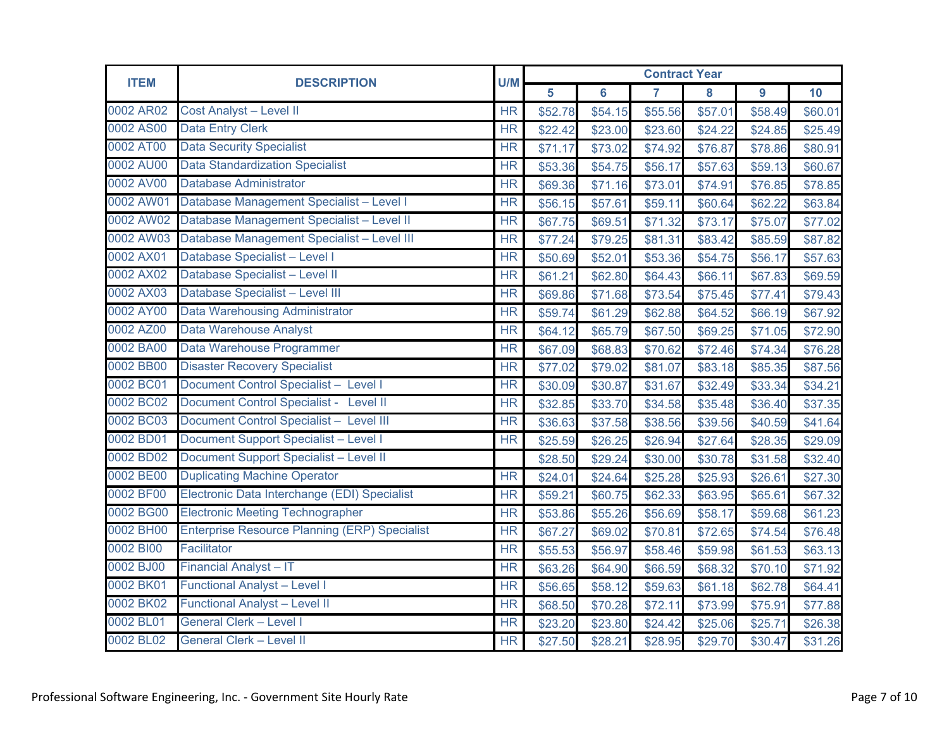| <b>ITEM</b> | <b>DESCRIPTION</b>                                   | U/M       | <b>Contract Year</b> |                |                |         |         |         |  |
|-------------|------------------------------------------------------|-----------|----------------------|----------------|----------------|---------|---------|---------|--|
|             |                                                      |           | 5                    | $6\phantom{a}$ | $\overline{7}$ | 8       | 9       | 10      |  |
| 0002 AR02   | <b>Cost Analyst - Level II</b>                       | <b>HR</b> | \$52.78              | \$54.15        | \$55.56        | \$57.01 | \$58.49 | \$60.01 |  |
| 0002 AS00   | <b>Data Entry Clerk</b>                              | <b>HR</b> | \$22.42              | \$23.00        | \$23.60        | \$24.22 | \$24.85 | \$25.49 |  |
| 0002 AT00   | <b>Data Security Specialist</b>                      | <b>HR</b> | \$71.17              | \$73.02        | \$74.92        | \$76.87 | \$78.86 | \$80.91 |  |
| 0002 AU00   | <b>Data Standardization Specialist</b>               | <b>HR</b> | \$53.36              | \$54.75        | \$56.17        | \$57.63 | \$59.13 | \$60.67 |  |
| 0002 AV00   | <b>Database Administrator</b>                        | <b>HR</b> | \$69.36              | \$71.16        | \$73.01        | \$74.91 | \$76.85 | \$78.85 |  |
| 0002 AW01   | Database Management Specialist - Level I             | <b>HR</b> | \$56.15              | \$57.61        | \$59.11        | \$60.64 | \$62.22 | \$63.84 |  |
| 0002 AW02   | Database Management Specialist - Level II            | <b>HR</b> | \$67.75              | \$69.51        | \$71.32        | \$73.17 | \$75.07 | \$77.02 |  |
| 0002 AW03   | Database Management Specialist - Level III           | <b>HR</b> | \$77.24              | \$79.25        | \$81.31        | \$83.42 | \$85.59 | \$87.82 |  |
| 0002 AX01   | Database Specialist - Level I                        | <b>HR</b> | \$50.69              | \$52.01        | \$53.36        | \$54.75 | \$56.17 | \$57.63 |  |
| 0002 AX02   | Database Specialist - Level II                       | <b>HR</b> | \$61.21              | \$62.80        | \$64.43        | \$66.11 | \$67.83 | \$69.59 |  |
| 0002 AX03   | Database Specialist - Level III                      | HR        | \$69.86              | \$71.68        | \$73.54        | \$75.45 | \$77.41 | \$79.43 |  |
| 0002 AY00   | <b>Data Warehousing Administrator</b>                | <b>HR</b> | \$59.74              | \$61.29        | \$62.88        | \$64.52 | \$66.19 | \$67.92 |  |
| 0002 AZ00   | <b>Data Warehouse Analyst</b>                        | HR        | \$64.12              | \$65.79        | \$67.50        | \$69.25 | \$71.05 | \$72.90 |  |
| 0002 BA00   | Data Warehouse Programmer                            | <b>HR</b> | \$67.09              | \$68.83        | \$70.62        | \$72.46 | \$74.34 | \$76.28 |  |
| 0002 BB00   | <b>Disaster Recovery Specialist</b>                  | <b>HR</b> | \$77.02              | \$79.02        | \$81.07        | \$83.18 | \$85.35 | \$87.56 |  |
| 0002 BC01   | Document Control Specialist - Level I                | HR        | \$30.09              | \$30.87        | \$31.67        | \$32.49 | \$33.34 | \$34.21 |  |
| 0002 BC02   | Document Control Specialist - Level II               | <b>HR</b> | \$32.85              | \$33.70        | \$34.58        | \$35.48 | \$36.40 | \$37.35 |  |
| 0002 BC03   | Document Control Specialist - Level III              | <b>HR</b> | \$36.63              | \$37.58        | \$38.56        | \$39.56 | \$40.59 | \$41.64 |  |
| 0002 BD01   | <b>Document Support Specialist - Level I</b>         | <b>HR</b> | \$25.59              | \$26.25        | \$26.94        | \$27.64 | \$28.35 | \$29.09 |  |
| 0002 BD02   | <b>Document Support Specialist - Level II</b>        |           | \$28.50              | \$29.24        | \$30.00        | \$30.78 | \$31.58 | \$32.40 |  |
| 0002 BE00   | <b>Duplicating Machine Operator</b>                  | HR        | \$24.01              | \$24.64        | \$25.28        | \$25.93 | \$26.61 | \$27.30 |  |
| 0002 BF00   | Electronic Data Interchange (EDI) Specialist         | HR        | \$59.21              | \$60.75        | \$62.33        | \$63.95 | \$65.61 | \$67.32 |  |
| 0002 BG00   | <b>Electronic Meeting Technographer</b>              | <b>HR</b> | \$53.86              | \$55.26        | \$56.69        | \$58.17 | \$59.68 | \$61.23 |  |
| 0002 BH00   | <b>Enterprise Resource Planning (ERP) Specialist</b> | <b>HR</b> | \$67.27              | \$69.02        | \$70.81        | \$72.65 | \$74.54 | \$76.48 |  |
| 0002 BI00   | Facilitator                                          | <b>HR</b> | \$55.53              | \$56.97        | \$58.46        | \$59.98 | \$61.53 | \$63.13 |  |
| 0002 BJ00   | <b>Financial Analyst - IT</b>                        | <b>HR</b> | \$63.26              | \$64.90        | \$66.59        | \$68.32 | \$70.10 | \$71.92 |  |
| 0002 BK01   | <b>Functional Analyst - Level I</b>                  | <b>HR</b> | \$56.65              | \$58.12        | \$59.63        | \$61.18 | \$62.78 | \$64.41 |  |
| 0002 BK02   | <b>Functional Analyst - Level II</b>                 | <b>HR</b> | \$68.50              | \$70.28        | \$72.11        | \$73.99 | \$75.91 | \$77.88 |  |
| 0002 BL01   | <b>General Clerk - Level I</b>                       | <b>HR</b> | \$23.20              | \$23.80        | \$24.42        | \$25.06 | \$25.71 | \$26.38 |  |
| 0002 BL02   | <b>General Clerk - Level II</b>                      | <b>HR</b> | \$27.50              | \$28.21        | \$28.95        | \$29.70 | \$30.47 | \$31.26 |  |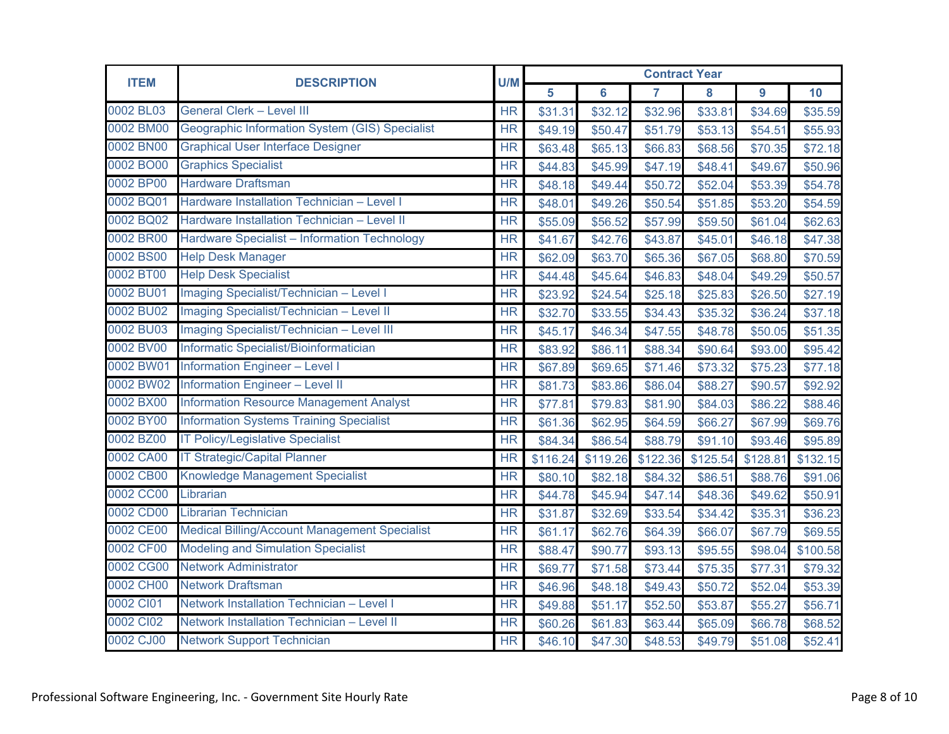| <b>ITEM</b> | U/M<br><b>DESCRIPTION</b>                            |                        | <b>Contract Year</b> |          |                |          |          |          |  |  |
|-------------|------------------------------------------------------|------------------------|----------------------|----------|----------------|----------|----------|----------|--|--|
|             |                                                      |                        | 5                    | 6        | $\overline{7}$ | 8        | 9        | 10       |  |  |
| 0002 BL03   | General Clerk - Level III                            | <b>HR</b>              | \$31.31              | \$32.12  | \$32.96        | \$33.81  | \$34.69  | \$35.59  |  |  |
| 0002 BM00   | Geographic Information System (GIS) Specialist       | <b>HR</b>              | \$49.19              | \$50.47  | \$51.79        | \$53.13  | \$54.51  | \$55.93  |  |  |
| 0002 BN00   | <b>Graphical User Interface Designer</b>             | <b>HR</b>              | \$63.48              | \$65.13  | \$66.83        | \$68.56  | \$70.35  | \$72.18  |  |  |
| 0002 BO00   | <b>Graphics Specialist</b>                           | <b>HR</b>              | \$44.83              | \$45.99  | \$47.19        | \$48.41  | \$49.67  | \$50.96  |  |  |
| 0002 BP00   | <b>Hardware Draftsman</b>                            | <b>HR</b>              | \$48.18              | \$49.44  | \$50.72        | \$52.04  | \$53.39  | \$54.78  |  |  |
| 0002 BQ01   | Hardware Installation Technician - Level I           | <b>HR</b>              | \$48.01              | \$49.26  | \$50.54        | \$51.85  | \$53.20  | \$54.59  |  |  |
| 0002 BQ02   | Hardware Installation Technician - Level II          | <b>HR</b>              | \$55.09              | \$56.52  | \$57.99        | \$59.50  | \$61.04  | \$62.63  |  |  |
| 0002 BR00   | Hardware Specialist - Information Technology         | <b>HR</b>              | \$41.67              | \$42.76  | \$43.87        | \$45.01  | \$46.18  | \$47.38  |  |  |
| 0002 BS00   | <b>Help Desk Manager</b>                             | <b>HR</b>              | \$62.09              | \$63.70  | \$65.36        | \$67.05  | \$68.80  | \$70.59  |  |  |
| 0002 BT00   | <b>Help Desk Specialist</b>                          | <b>HR</b>              | \$44.48              | \$45.64  | \$46.83        | \$48.04  | \$49.29  | \$50.57  |  |  |
| 0002 BU01   | Imaging Specialist/Technician - Level I              | <b>HR</b>              | \$23.92              | \$24.54  | \$25.18        | \$25.83  | \$26.50  | \$27.19  |  |  |
| 0002 BU02   | <b>Imaging Specialist/Technician - Level II</b>      | <b>HR</b>              | \$32.70              | \$33.55  | \$34.43        | \$35.32  | \$36.24  | \$37.18  |  |  |
| 0002 BU03   | Imaging Specialist/Technician - Level III            | <b>HR</b>              | \$45.17              | \$46.34  | \$47.55        | \$48.78  | \$50.05  | \$51.35  |  |  |
| 0002 BV00   | Informatic Specialist/Bioinformatician               | <b>HR</b>              | \$83.92              | \$86.11  | \$88.34        | \$90.64  | \$93.00  | \$95.42  |  |  |
| 0002 BW01   | <b>Information Engineer - Level I</b>                | <b>HR</b>              | \$67.89              | \$69.65  | \$71.46        | \$73.32  | \$75.23  | \$77.18  |  |  |
| 0002 BW02   | <b>Information Engineer - Level II</b>               | $\overline{\text{HR}}$ | \$81.73              | \$83.86  | \$86.04        | \$88.27  | \$90.57  | \$92.92  |  |  |
| 0002 BX00   | <b>Information Resource Management Analyst</b>       | <b>HR</b>              | \$77.81              | \$79.83  | \$81.90        | \$84.03  | \$86.22  | \$88.46  |  |  |
| 0002 BY00   | <b>Information Systems Training Specialist</b>       | <b>HR</b>              | \$61.36              | \$62.95  | \$64.59        | \$66.27  | \$67.99  | \$69.76  |  |  |
| 0002 BZ00   | <b>IT Policy/Legislative Specialist</b>              | <b>HR</b>              | \$84.34              | \$86.54  | \$88.79        | \$91.10  | \$93.46  | \$95.89  |  |  |
| 0002 CA00   | <b>IT Strategic/Capital Planner</b>                  | <b>HR</b>              | \$116.24             | \$119.26 | \$122.36       | \$125.54 | \$128.81 | \$132.15 |  |  |
| 0002 CB00   | <b>Knowledge Management Specialist</b>               | <b>HR</b>              | \$80.10              | \$82.18  | \$84.32        | \$86.51  | \$88.76  | \$91.06  |  |  |
| 0002 CC00   | Librarian                                            | $\overline{\text{HR}}$ | \$44.78              | \$45.94  | \$47.14        | \$48.36  | \$49.62  | \$50.91  |  |  |
| 0002 CD00   | <b>Librarian Technician</b>                          | <b>HR</b>              | \$31.87              | \$32.69  | \$33.54        | \$34.42  | \$35.31  | \$36.23  |  |  |
| 0002 CE00   | <b>Medical Billing/Account Management Specialist</b> | <b>HR</b>              | \$61.17              | \$62.76  | \$64.39        | \$66.07  | \$67.79  | \$69.55  |  |  |
| 0002 CF00   | <b>Modeling and Simulation Specialist</b>            | <b>HR</b>              | \$88.47              | \$90.77  | \$93.13        | \$95.55  | \$98.04  | \$100.58 |  |  |
| 0002 CG00   | <b>Network Administrator</b>                         | <b>HR</b>              | \$69.77              | \$71.58  | \$73.44        | \$75.35  | \$77.31  | \$79.32  |  |  |
| 0002 CH00   | <b>Network Draftsman</b>                             | <b>HR</b>              | \$46.96              | \$48.18  | \$49.43        | \$50.72  | \$52.04  | \$53.39  |  |  |
| 0002 CI01   | Network Installation Technician - Level I            | <b>HR</b>              | \$49.88              | \$51.17  | \$52.50        | \$53.87  | \$55.27  | \$56.71  |  |  |
| 0002 CI02   | Network Installation Technician - Level II           | <b>HR</b>              | \$60.26              | \$61.83  | \$63.44        | \$65.09  | \$66.78  | \$68.52  |  |  |
| 0002 CJ00   | <b>Network Support Technician</b>                    | <b>HR</b>              | \$46.10              | \$47.30  | \$48.53        | \$49.79  | \$51.08  | \$52.41  |  |  |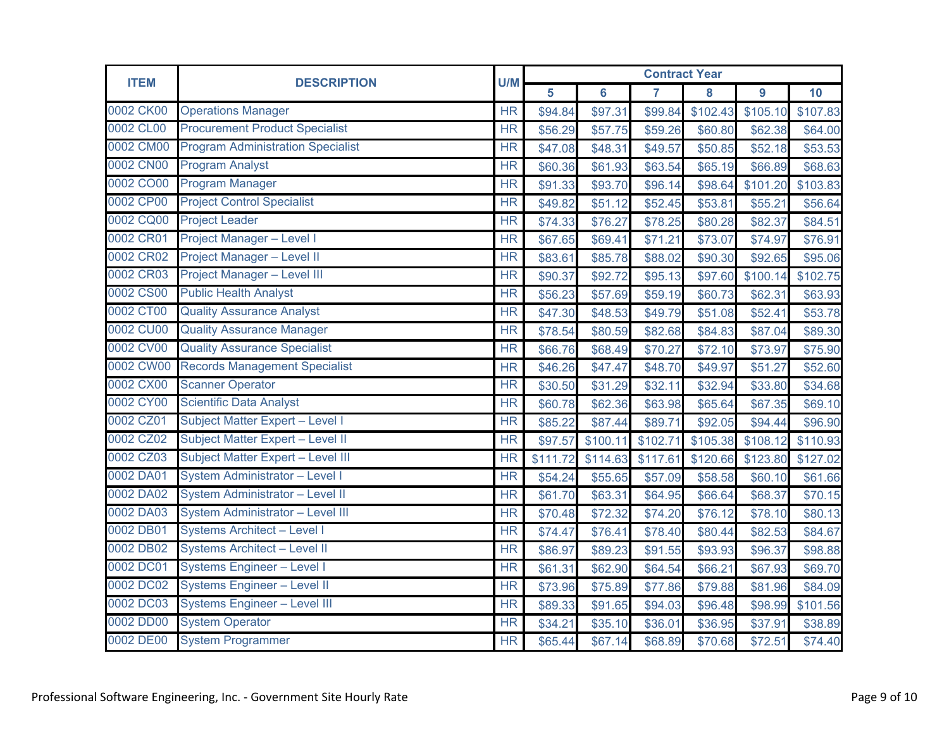| <b>ITEM</b><br><b>DESCRIPTION</b> |                                          | U/M       | <b>Contract Year</b> |                |          |          |          |          |  |
|-----------------------------------|------------------------------------------|-----------|----------------------|----------------|----------|----------|----------|----------|--|
|                                   |                                          | 5         | $6\phantom{a}$       | $\overline{7}$ | 8        | 9        | 10       |          |  |
| 0002 CK00                         | <b>Operations Manager</b>                | <b>HR</b> | \$94.84              | \$97.31        | \$99.84  | \$102.43 | \$105.10 | \$107.83 |  |
| 0002 CL00                         | <b>Procurement Product Specialist</b>    | <b>HR</b> | \$56.29              | \$57.75        | \$59.26  | \$60.80  | \$62.38  | \$64.00  |  |
| 0002 CM00                         | <b>Program Administration Specialist</b> | <b>HR</b> | \$47.08              | \$48.31        | \$49.57  | \$50.85  | \$52.18  | \$53.53  |  |
| 0002 CN00                         | <b>Program Analyst</b>                   | <b>HR</b> | \$60.36              | \$61.93        | \$63.54  | \$65.19  | \$66.89  | \$68.63  |  |
| 0002 CO00                         | <b>Program Manager</b>                   | HR        | \$91.33              | \$93.70        | \$96.14  | \$98.64  | \$101.20 | \$103.83 |  |
| 0002 CP00                         | <b>Project Control Specialist</b>        | <b>HR</b> | \$49.82              | \$51.12        | \$52.45  | \$53.81  | \$55.21  | \$56.64  |  |
| 0002 CQ00                         | <b>Project Leader</b>                    | <b>HR</b> | \$74.33              | \$76.27        | \$78.25  | \$80.28  | \$82.37  | \$84.51  |  |
| 0002 CR01                         | <b>Project Manager - Level I</b>         | <b>HR</b> | \$67.65              | \$69.41        | \$71.21  | \$73.07  | \$74.97  | \$76.91  |  |
| 0002 CR02                         | <b>Project Manager - Level II</b>        | <b>HR</b> | \$83.61              | \$85.78        | \$88.02  | \$90.30  | \$92.65  | \$95.06  |  |
| 0002 CR03                         | <b>Project Manager - Level III</b>       | <b>HR</b> | \$90.37              | \$92.72        | \$95.13  | \$97.60  | \$100.14 | \$102.75 |  |
| 0002 CS00                         | <b>Public Health Analyst</b>             | HR        | \$56.23              | \$57.69        | \$59.19  | \$60.73  | \$62.31  | \$63.93  |  |
| 0002 CT00                         | <b>Quality Assurance Analyst</b>         | <b>HR</b> | \$47.30              | \$48.53        | \$49.79  | \$51.08  | \$52.41  | \$53.78  |  |
| 0002 CU00                         | <b>Quality Assurance Manager</b>         | <b>HR</b> | \$78.54              | \$80.59        | \$82.68  | \$84.83  | \$87.04  | \$89.30  |  |
| 0002 CV00                         | <b>Quality Assurance Specialist</b>      | <b>HR</b> | \$66.76              | \$68.49        | \$70.27  | \$72.10  | \$73.97  | \$75.90  |  |
| 0002 CW00                         | <b>Records Management Specialist</b>     | <b>HR</b> | \$46.26              | \$47.47        | \$48.70  | \$49.97  | \$51.27  | \$52.60  |  |
| 0002 CX00                         | <b>Scanner Operator</b>                  | <b>HR</b> | \$30.50              | \$31.29        | \$32.11  | \$32.94  | \$33.80  | \$34.68  |  |
| 0002 CY00                         | <b>Scientific Data Analyst</b>           | <b>HR</b> | \$60.78              | \$62.36        | \$63.98  | \$65.64  | \$67.35  | \$69.10  |  |
| 0002 CZ01                         | Subject Matter Expert - Level I          | <b>HR</b> | \$85.22              | \$87.44        | \$89.71  | \$92.05  | \$94.44  | \$96.90  |  |
| 0002 CZ02                         | Subject Matter Expert - Level II         | <b>HR</b> | \$97.57              | \$100.11       | \$102.71 | \$105.38 | \$108.12 | \$110.93 |  |
| 0002 CZ03                         | Subject Matter Expert - Level III        | <b>HR</b> | \$111.72             | \$114.63       | \$117.61 | \$120.66 | \$123.80 | \$127.02 |  |
| 0002 DA01                         | System Administrator - Level I           | <b>HR</b> | \$54.24              | \$55.65        | \$57.09  | \$58.58  | \$60.10  | \$61.66  |  |
| 0002 DA02                         | System Administrator - Level II          | HR        | \$61.70              | \$63.31        | \$64.95  | \$66.64  | \$68.37  | \$70.15  |  |
| 0002 DA03                         | <b>System Administrator - Level III</b>  | <b>HR</b> | \$70.48              | \$72.32        | \$74.20  | \$76.12  | \$78.10  | \$80.13  |  |
| 0002 DB01                         | <b>Systems Architect - Level I</b>       | <b>HR</b> | \$74.47              | \$76.41        | \$78.40  | \$80.44  | \$82.53  | \$84.67  |  |
| 0002 DB02                         | Systems Architect - Level II             | <b>HR</b> | \$86.97              | \$89.23        | \$91.55  | \$93.93  | \$96.37  | \$98.88  |  |
| 0002 DC01                         | <b>Systems Engineer - Level I</b>        | <b>HR</b> | \$61.31              | \$62.90        | \$64.54  | \$66.21  | \$67.93  | \$69.70  |  |
| 0002 DC02                         | <b>Systems Engineer - Level II</b>       | <b>HR</b> | \$73.96              | \$75.89        | \$77.86  | \$79.88  | \$81.96  | \$84.09  |  |
| 0002 DC03                         | <b>Systems Engineer - Level III</b>      | <b>HR</b> | \$89.33              | \$91.65        | \$94.03  | \$96.48  | \$98.99  | \$101.56 |  |
| 0002 DD00                         | <b>System Operator</b>                   | <b>HR</b> | \$34.21              | \$35.10        | \$36.01  | \$36.95  | \$37.91  | \$38.89  |  |
| 0002 DE00                         | <b>System Programmer</b>                 | <b>HR</b> | \$65.44              | \$67.14        | \$68.89  | \$70.68  | \$72.51  | \$74.40  |  |